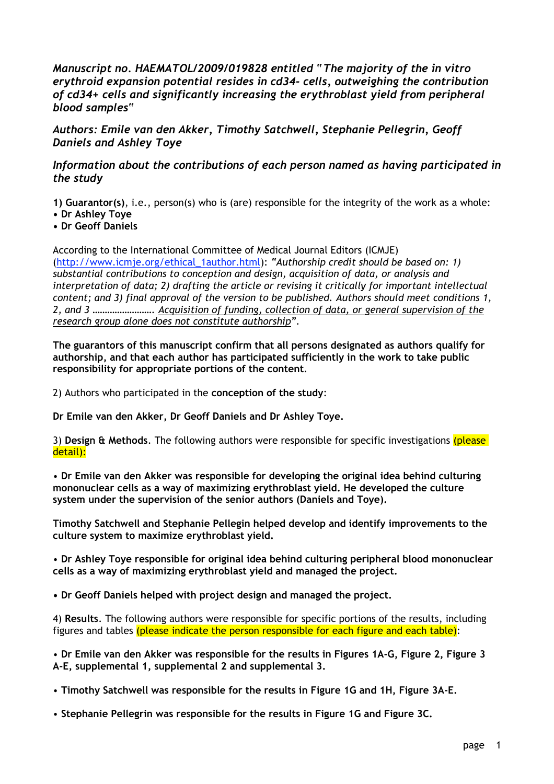*Manuscript no. HAEMATOL/2009/019828 entitled "The majority of the in vitro erythroid expansion potential resides in cd34- cells, outweighing the contribution of cd34+ cells and significantly increasing the erythroblast yield from peripheral blood samples"*

*Authors: Emile van den Akker, Timothy Satchwell, Stephanie Pellegrin, Geoff Daniels and Ashley Toye*

## *Information about the contributions of each person named as having participated in the study*

**1) Guarantor(s)**, i.e., person(s) who is (are) responsible for the integrity of the work as a whole:

- **Dr Ashley Toye**
- **• Dr Geoff Daniels**

According to the International Committee of Medical Journal Editors (ICMJE) (http://www.icmje.org/ethical\_1author.html): *"Authorship credit should be based on: 1) substantial contributions to conception and design, acquisition of data, or analysis and interpretation of data; 2) drafting the article or revising it critically for important intellectual content; and 3) final approval of the version to be published. Authors should meet conditions 1, 2, and 3 ……………………. Acquisition of funding, collection of data, or general supervision of the research group alone does not constitute authorship".*

**The guarantors of this manuscript confirm that all persons designated as authors qualify for authorship, and that each author has participated sufficiently in the work to take public responsibility for appropriate portions of the content**.

2) Authors who participated in the **conception of the study**:

**Dr Emile van den Akker, Dr Geoff Daniels and Dr Ashley Toye.**

3) **Design & Methods**. The following authors were responsible for specific investigations (please detail):

• **Dr Emile van den Akker was responsible for developing the original idea behind culturing mononuclear cells as a way of maximizing erythroblast yield. He developed the culture system under the supervision of the senior authors (Daniels and Toye).**

**Timothy Satchwell and Stephanie Pellegin helped develop and identify improvements to the culture system to maximize erythroblast yield.**

• **Dr Ashley Toye responsible for original idea behind culturing peripheral blood mononuclear cells as a way of maximizing erythroblast yield and managed the project.**

**• Dr Geoff Daniels helped with project design and managed the project.**

4) **Results**. The following authors were responsible for specific portions of the results, including figures and tables (please indicate the person responsible for each figure and each table):

• **Dr Emile van den Akker was responsible for the results in Figures 1A-G, Figure 2, Figure 3 A-E, supplemental 1, supplemental 2 and supplemental 3.**

• **Timothy Satchwell was responsible for the results in Figure 1G and 1H, Figure 3A-E.**

• **Stephanie Pellegrin was responsible for the results in Figure 1G and Figure 3C.**